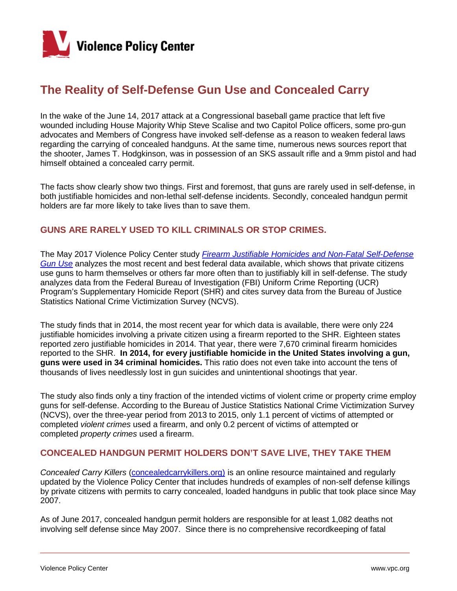

# **The Reality of Self-Defense Gun Use and Concealed Carry**

In the wake of the June 14, 2017 attack at a Congressional baseball game practice that left five wounded including House Majority Whip Steve Scalise and two Capitol Police officers, some pro-gun advocates and Members of Congress have invoked self-defense as a reason to weaken federal laws regarding the carrying of concealed handguns. At the same time, numerous news sources report that the shooter, James T. Hodgkinson, was in possession of an SKS assault rifle and a 9mm pistol and had himself obtained a concealed carry permit.

The facts show clearly show two things. First and foremost, that guns are rarely used in self-defense, in both justifiable homicides and non-lethal self-defense incidents. Secondly, concealed handgun permit holders are far more likely to take lives than to save them.

## **GUNS ARE RARELY USED TO KILL CRIMINALS OR STOP CRIMES.**

The May 2017 Violence Policy Center study *[Firearm Justifiable Homicides and Non-Fatal Self-Defense](http://www.vpc.org/studies/justifiable17.pdf)  [Gun Use](http://www.vpc.org/studies/justifiable17.pdf)* analyzes the most recent and best federal data available, which shows that private citizens use guns to harm themselves or others far more often than to justifiably kill in self-defense. The study analyzes data from the Federal Bureau of Investigation (FBI) Uniform Crime Reporting (UCR) Program's Supplementary Homicide Report (SHR) and cites survey data from the Bureau of Justice Statistics National Crime Victimization Survey (NCVS).

The study finds that in 2014, the most recent year for which data is available, there were only 224 justifiable homicides involving a private citizen using a firearm reported to the SHR. Eighteen states reported zero justifiable homicides in 2014. That year, there were 7,670 criminal firearm homicides reported to the SHR. **In 2014, for every justifiable homicide in the United States involving a gun, guns were used in 34 criminal homicides.** This ratio does not even take into account the tens of thousands of lives needlessly lost in gun suicides and unintentional shootings that year.

The study also finds only a tiny fraction of the intended victims of violent crime or property crime employ guns for self-defense. According to the Bureau of Justice Statistics National Crime Victimization Survey (NCVS), over the three-year period from 2013 to 2015, only 1.1 percent of victims of attempted or completed *violent crimes* used a firearm, and only 0.2 percent of victims of attempted or completed *property crimes* used a firearm.

## **CONCEALED HANDGUN PERMIT HOLDERS DON'T SAVE LIVE, THEY TAKE THEM**

*Concealed Carry Killers* [\(concealedcarrykillers.org\)](http://www.concealedcarrykillers.org/) is an online resource maintained and regularly updated by the Violence Policy Center that includes hundreds of examples of non-self defense killings by private citizens with permits to carry concealed, loaded handguns in public that took place since May 2007.

As of June 2017, concealed handgun permit holders are responsible for at least 1,082 deaths not involving self defense since May 2007. Since there is no comprehensive recordkeeping of fatal